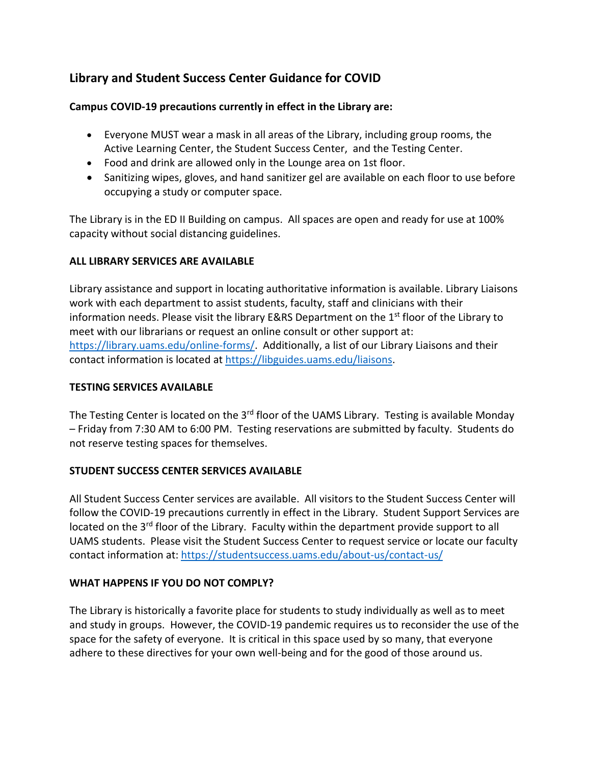# **Library and Student Success Center Guidance for COVID**

## **Campus COVID-19 precautions currently in effect in the Library are:**

- Everyone MUST wear a mask in all areas of the Library, including group rooms, the Active Learning Center, the Student Success Center, and the Testing Center.
- Food and drink are allowed only in the Lounge area on 1st floor.
- Sanitizing wipes, gloves, and hand sanitizer gel are available on each floor to use before occupying a study or computer space.

The Library is in the ED II Building on campus. All spaces are open and ready for use at 100% capacity without social distancing guidelines.

#### **ALL LIBRARY SERVICES ARE AVAILABLE**

Library assistance and support in locating authoritative information is available. Library Liaisons work with each department to assist students, faculty, staff and clinicians with their information needs. Please visit the library E&RS Department on the  $1<sup>st</sup>$  floor of the Library to meet with our librarians or request an online consult or other support at: [https://library.uams.edu/online-forms/.](https://library.uams.edu/online-forms/) Additionally, a list of our Library Liaisons and their contact information is located at [https://libguides.uams.edu/liaisons.](https://libguides.uams.edu/liaisons)

## **TESTING SERVICES AVAILABLE**

The Testing Center is located on the 3<sup>rd</sup> floor of the UAMS Library. Testing is available Monday – Friday from 7:30 AM to 6:00 PM. Testing reservations are submitted by faculty. Students do not reserve testing spaces for themselves.

## **STUDENT SUCCESS CENTER SERVICES AVAILABLE**

All Student Success Center services are available. All visitors to the Student Success Center will follow the COVID-19 precautions currently in effect in the Library. Student Support Services are located on the 3<sup>rd</sup> floor of the Library. Faculty within the department provide support to all UAMS students. Please visit the Student Success Center to request service or locate our faculty contact information at[: https://studentsuccess.uams.edu/about-us/contact-us/](https://studentsuccess.uams.edu/about-us/contact-us/)

## **WHAT HAPPENS IF YOU DO NOT COMPLY?**

The Library is historically a favorite place for students to study individually as well as to meet and study in groups. However, the COVID-19 pandemic requires us to reconsider the use of the space for the safety of everyone. It is critical in this space used by so many, that everyone adhere to these directives for your own well-being and for the good of those around us.